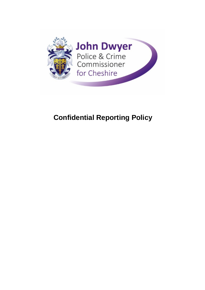

# **Confidential Reporting Policy**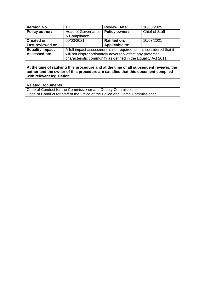| <b>Version No.</b>     | 1.1                                                                  | <b>Review Date:</b>   | 10/03/2025     |
|------------------------|----------------------------------------------------------------------|-----------------------|----------------|
| <b>Policy author:</b>  | <b>Head of Governance</b><br>& Compliance                            | <b>Policy owner:</b>  | Chief of Staff |
|                        |                                                                      |                       |                |
| <b>Created on:</b>     | 09/03/2021                                                           | <b>Ratified on:</b>   | 10/03/2021     |
| Last reviewed on:      |                                                                      | <b>Applicable to:</b> |                |
| <b>Equality Impact</b> | A full impact assessment is not required as it is considered that it |                       |                |
| Assessed on:           | will not disproportionately adversely affect any protected           |                       |                |
|                        | characteristic community as defined in the Equality Act 2011.        |                       |                |
|                        |                                                                      |                       |                |

**At the time of ratifying this procedure and at the time of all subsequent reviews, the author and the owner of this procedure are satisfied that this document complied with relevant legislation.** 

| <b>Related Documents</b>                                                     |
|------------------------------------------------------------------------------|
| Code of Conduct for the Commissioner and Deputy Commissioner                 |
| Code of Conduct for staff of the Office of the Police and Crime Commissioner |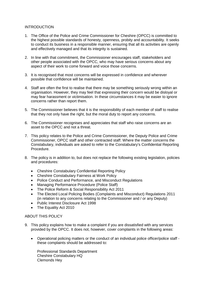### **INTRODUCTION**

- 1. The Office of the Police and Crime Commissioner for Cheshire (OPCC) is committed to the highest possible standards of honesty, openness, probity and accountability. It seeks to conduct its business in a responsible manner, ensuring that all its activities are openly and effectively managed and that its integrity is sustained.
- 2. In line with that commitment, the Commissioner encourages staff, stakeholders and other people associated with the OPCC, who may have serious concerns about any aspect of their work to come forward and voice those concerns.
- 3. It is recognised that most concerns will be expressed in confidence and wherever possible that confidence will be maintained.
- 4. Staff are often the first to realise that there may be something seriously wrong within an organisation. However, they may feel that expressing their concern would be disloyal or may fear harassment or victimisation. In these circumstances it may be easier to ignore concerns rather than report them.
- 5. The Commissioner believes that it is the responsibility of each member of staff to realise that they not only have the right, but the moral duty to report any concerns.
- 6. The Commissioner recognises and appreciates that staff who raise concerns are an asset to the OPCC and not a threat.
- 7. This policy relates to the Police and Crime Commissioner, the Deputy Police and Crime Commissioner, OPCC staff and other contracted staff. Where the matter concerns the Constabulary, individuals are asked to refer to the Constabulary's Confidential Reporting Procedure.
- 8. The policy is in addition to, but does not replace the following existing legislation, policies and procedures:
	- Cheshire Constabulary Confidential Reporting Policy
	- Cheshire Constabulary Fairness at Work Policy
	- Police Conduct and Performance, and Misconduct Regulations
	- Managing Performance Procedure (Police Staff)
	- The Police Reform & Social Responsibility Act 2011
	- The Elected Local Policing Bodies (Complaints and Misconduct) Regulations 2011 (in relation to any concerns relating to the Commissioner and / or any Deputy)
	- Public Interest Disclosure Act 1998
	- The Equality Act 2010

#### ABOUT THIS POLICY

- 9. This policy explains how to make a complaint if you are dissatisfied with any services provided by the OPCC. It does not, however, cover complaints in the following areas:
	- Operational policing matters or the conduct of an individual police officer/police staff these complaints should be addressed to:

Professional Standards Department Cheshire Constabulary HQ Clemonds Hey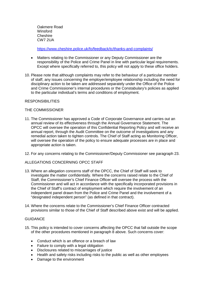Oakmere Road **Winsford Cheshire** CW7 2UA

<https://www.cheshire.police.uk/fo/feedback/tc/thanks-and-complaints/>

- Matters relating to the Commissioner or any Deputy Commissioner are the responsibility of the Police and Crime Panel in line with particular legal requirements. Except where specifically referred to, this policy will not apply to these office holders.
- 10. Please note that although complaints may refer to the behaviour of a particular member of staff, any issues concerning the employer/employee relationship including the need for disciplinary action to be taken are addressed separately under the Office of the Police and Crime Commissioner's internal procedures or the Constabulary's policies as applied to the particular individual's terms and conditions of employment.

## **RESPONSIBILITIES**

### THE COMMISSIONER

- 11. The Commissioner has approved a Code of Corporate Governance and carries out an annual review of its effectiveness through the Annual Governance Statement. The OPCC will oversee the operation of this Confidential Reporting Policy and will receive an annual report, through the Audit Committee on the outcome of investigations and any remedial action taken to tighten controls. The Chief of Staff acting as Monitoring Officer, will oversee the operation of the policy to ensure adequate processes are in place and appropriate action is taken.
- 12. For any concerns relating to the Commissioner/Deputy Commissioner see paragraph 23.

## ALLEGATIONS CONCERNING OPCC STAFF

- 13. Where an allegation concerns staff of the OPCC, the Chief of Staff will seek to investigate the matter confidentially. Where the concerns raised relate to the Chief of Staff, the Commissioner's Chief Finance Officer will oversee the process with the Commissioner and will act in accordance with the specifically incorporated provisions in the Chief of Staff's contract of employment which require the involvement of an independent panel drawn from the Police and Crime Panel and the involvement of a "designated independent person" (as defined in that contract).
- 14. Where the concerns relate to the Commissioner's Chief Finance Officer contracted provisions similar to those of the Chief of Staff described above exist and will be applied.

## **GUIDANCE**

- 15. This policy is intended to cover concerns affecting the OPCC that fall outside the scope of the other procedures mentioned in paragraph 8 above. Such concerns cover:
	- Conduct which is an offence or a breach of law
	- Failure to comply with a legal obligation
	- Disclosures related to miscarriages of justice
	- Health and safety risks including risks to the public as well as other employees
	- Damage to the environment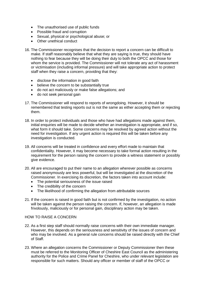- The unauthorised use of public funds
- Possible fraud and corruption
- Sexual, physical or psychological abuse; or
- Other unethical conduct
- 16. The Commissioner recognises that the decision to report a concern can be difficult to make. If staff reasonably believe that what they are saying is true, they should have nothing to fear because they will be doing their duty to both the OPCC and those for whom the service is provided. The Commissioner will not tolerate any act of harassment or victimisation (including informal pressure) and will take appropriate action to protect staff when they raise a concern, providing that they:
	- disclose the information in good faith
	- believe the concern to be substantially true
	- do not act maliciously or make false allegations; and
	- do not seek personal gain
- 17. The Commissioner will respond to reports of wrongdoing. However, it should be remembered that testing reports out is not the same as either accepting them or rejecting them.
- 18. In order to protect individuals and those who have had allegations made against them, initial enquiries will be made to decide whether an investigation is appropriate, and if so, what form it should take. Some concerns may be resolved by agreed action without the need for investigation. If any urgent action is required this will be taken before any investigation is conducted.
- 19. All concerns will be treated in confidence and every effort made to maintain that confidentiality. However, it may become necessary to take formal action resulting in the requirement for the person raising the concern to provide a witness statement or possibly give evidence.
- 20. All are encouraged to put their name to an allegation wherever possible as concerns raised anonymously are less powerful, but will be investigated at the discretion of the Commissioner. In exercising its discretion, the factors taken into account include:
	- The potential seriousness of the issue raised
	- The credibility of the concern
	- The likelihood of confirming the allegation from attributable sources
- 21. If the concern is raised in good faith but is not confirmed by the investigation, no action will be taken against the person raising the concern. If, however, an allegation is made frivolously, maliciously or for personal gain, disciplinary action may be taken.

## HOW TO RAISE A CONCERN

- 22. As a first step staff should normally raise concerns with their own immediate manager. However, this depends on the seriousness and sensitivity of the issues of concern and who may be involved. As a general rule concerns should be raised directly with the Chief of Staff.
- 23. Where an allegation concerns the Commissioner or Deputy Commissioner then these must be referred to the Monitoring Officer of Cheshire East Council as the administering authority for the Police and Crime Panel for Cheshire, who under relevant legislation are responsible for such matters. Should any officer or member of staff of the OPCC or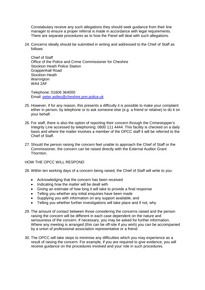Constabulary receive any such allegations they should seek guidance from their line manager to ensure a proper referral is made in accordance with legal requirements. There are separate procedures as to how the Panel will deal with such allegations.

24. Concerns ideally should be submitted in writing and addressed to the Chief of Staff as follows:

Chief of Staff Office of the Police and Crime Commissioner for Cheshire Stockton Heath Police Station Grappenhall Road Stockton Heath Warrington WA4 2AF

Telephone: 01606 364000 Email: [peter.astley@cheshire.pnn.police.uk](mailto:peter.astley@cheshire.pnn.police.uk)

- 25. However, if for any reason, this presents a difficulty it is possible to make your complaint either in person, by telephone or to ask someone else (e.g. a friend or relative) to do it on your behalf.
- 26. For staff, there is also the option of reporting their concern through the Crimestopper's Integrity Line accessed by telephoning: 0800 111 4444. This facility is checked on a daily basis and where the matter involves a member of the OPCC staff it will be referred to the Chief of Staff.
- 27. Should the person raising the concern feel unable to approach the Chief of Staff or the Commissioner, the concern can be raised directly with the External Auditor Grant **Thornton**

## HOW THE OPCC WILL RESPOND

- 28. Within ten working days of a concern being raised, the Chief of Staff will write to you:
	- Acknowledging that the concern has been received
	- Indicating how the matter will be dealt with
	- Giving an estimate of how long it will take to provide a final response
	- Telling you whether any initial enquiries have been made
	- Supplying you with information on any support available; and
	- Telling you whether further investigations will take place and if not, why
- 29. The amount of contact between those considering the concerns raised and the person raising the concern will be different in each case dependent on the nature and seriousness of the concern. If necessary, you may be asked for further information. Where any meeting is arranged (this can be off-site if you wish) you can be accompanied by a union of professional association representative or a friend.
- 30. The OPCC will take steps to minimise any difficulties which you may experience as a result of raising the concern. For example, if you are required to give evidence, you will receive guidance on the procedures involved and your role in such procedures.